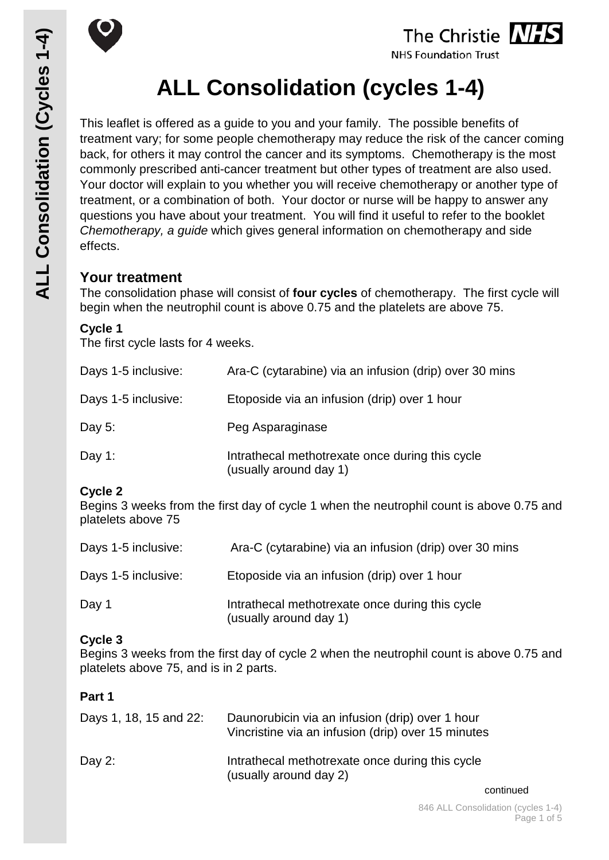

# The Christie **NHS**

**NHS Foundation Trust** 

# **ALL Consolidation (cycles 1-4)**

This leaflet is offered as a guide to you and your family. The possible benefits of treatment vary; for some people chemotherapy may reduce the risk of the cancer coming back, for others it may control the cancer and its symptoms. Chemotherapy is the most commonly prescribed anti-cancer treatment but other types of treatment are also used. Your doctor will explain to you whether you will receive chemotherapy or another type of treatment, or a combination of both. Your doctor or nurse will be happy to answer any questions you have about your treatment. You will find it useful to refer to the booklet *Chemotherapy, a guide* which gives general information on chemotherapy and side effects.

# **Your treatment**

The consolidation phase will consist of **four cycles** of chemotherapy. The first cycle will begin when the neutrophil count is above 0.75 and the platelets are above 75.

## **Cycle 1**

The first cycle lasts for 4 weeks.

| Days 1-5 inclusive: | Ara-C (cytarabine) via an infusion (drip) over 30 mins                    |
|---------------------|---------------------------------------------------------------------------|
| Days 1-5 inclusive: | Etoposide via an infusion (drip) over 1 hour                              |
| Day $5:$            | Peg Asparaginase                                                          |
| Day 1:              | Intrathecal methotrexate once during this cycle<br>(usually around day 1) |

# **Cycle 2**

Begins 3 weeks from the first day of cycle 1 when the neutrophil count is above 0.75 and platelets above 75

| Days 1-5 inclusive: | Ara-C (cytarabine) via an infusion (drip) over 30 mins                    |
|---------------------|---------------------------------------------------------------------------|
| Days 1-5 inclusive: | Etoposide via an infusion (drip) over 1 hour                              |
| Day 1               | Intrathecal methotrexate once during this cycle<br>(usually around day 1) |

# **Cycle 3**

Begins 3 weeks from the first day of cycle 2 when the neutrophil count is above 0.75 and platelets above 75, and is in 2 parts.

# **Part 1**

| Days 1, 18, 15 and 22: | Daunorubicin via an infusion (drip) over 1 hour<br>Vincristine via an infusion (drip) over 15 minutes |
|------------------------|-------------------------------------------------------------------------------------------------------|
| Day 2:                 | Intrathecal methotrexate once during this cycle<br>(usually around day 2)                             |

continued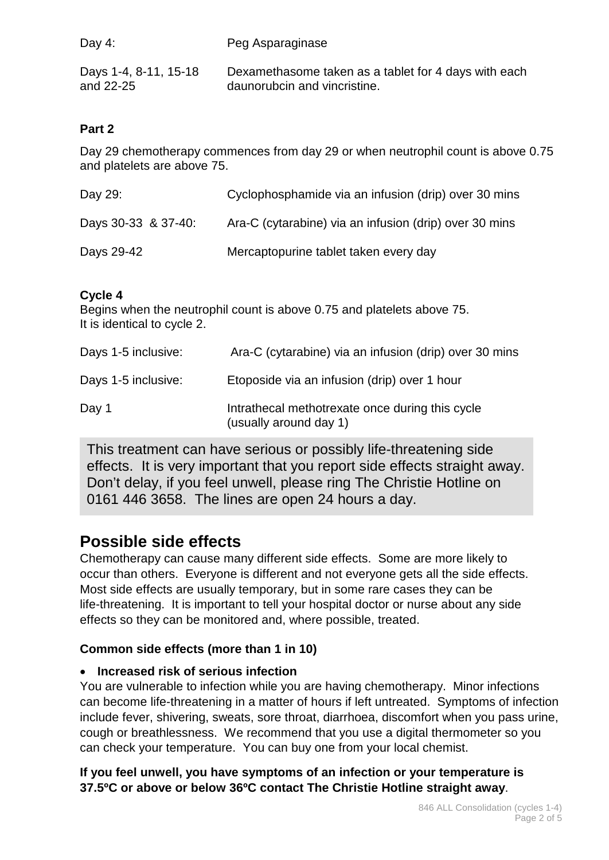| Day 4:                | Peg Asparaginase                                     |
|-----------------------|------------------------------------------------------|
| Days 1-4, 8-11, 15-18 | Dexamethasome taken as a tablet for 4 days with each |
| and 22-25             | daunorubcin and vincristine.                         |

## **Part 2**

Day 29 chemotherapy commences from day 29 or when neutrophil count is above 0.75 and platelets are above 75.

| Day 29:             | Cyclophosphamide via an infusion (drip) over 30 mins   |
|---------------------|--------------------------------------------------------|
| Days 30-33 & 37-40: | Ara-C (cytarabine) via an infusion (drip) over 30 mins |
| Days 29-42          | Mercaptopurine tablet taken every day                  |

## **Cycle 4**

Begins when the neutrophil count is above 0.75 and platelets above 75. It is identical to cycle 2.

| Days 1-5 inclusive: | Ara-C (cytarabine) via an infusion (drip) over 30 mins                    |
|---------------------|---------------------------------------------------------------------------|
| Days 1-5 inclusive: | Etoposide via an infusion (drip) over 1 hour                              |
| Day 1               | Intrathecal methotrexate once during this cycle<br>(usually around day 1) |

This treatment can have serious or possibly life-threatening side effects. It is very important that you report side effects straight away. Don't delay, if you feel unwell, please ring The Christie Hotline on 0161 446 3658. The lines are open 24 hours a day.

# **Possible side effects**

Chemotherapy can cause many different side effects. Some are more likely to occur than others. Everyone is different and not everyone gets all the side effects. Most side effects are usually temporary, but in some rare cases they can be life-threatening. It is important to tell your hospital doctor or nurse about any side effects so they can be monitored and, where possible, treated.

### **Common side effects (more than 1 in 10)**

### • **Increased risk of serious infection**

You are vulnerable to infection while you are having chemotherapy. Minor infections can become life-threatening in a matter of hours if left untreated. Symptoms of infection include fever, shivering, sweats, sore throat, diarrhoea, discomfort when you pass urine, cough or breathlessness. We recommend that you use a digital thermometer so you can check your temperature. You can buy one from your local chemist.

**If you feel unwell, you have symptoms of an infection or your temperature is 37.5ºC or above or below 36ºC contact The Christie Hotline straight away**.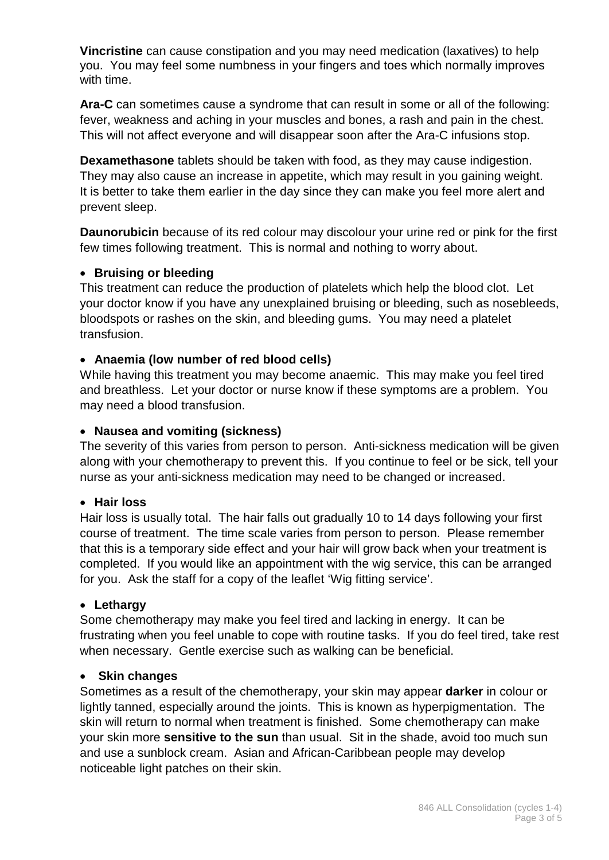**Vincristine** can cause constipation and you may need medication (laxatives) to help you. You may feel some numbness in your fingers and toes which normally improves with time.

**Ara-C** can sometimes cause a syndrome that can result in some or all of the following: fever, weakness and aching in your muscles and bones, a rash and pain in the chest. This will not affect everyone and will disappear soon after the Ara-C infusions stop.

**Dexamethasone** tablets should be taken with food, as they may cause indigestion. They may also cause an increase in appetite, which may result in you gaining weight. It is better to take them earlier in the day since they can make you feel more alert and prevent sleep.

**Daunorubicin** because of its red colour may discolour your urine red or pink for the first few times following treatment. This is normal and nothing to worry about.

#### • **Bruising or bleeding**

This treatment can reduce the production of platelets which help the blood clot. Let your doctor know if you have any unexplained bruising or bleeding, such as nosebleeds, bloodspots or rashes on the skin, and bleeding gums. You may need a platelet transfusion.

#### • **Anaemia (low number of red blood cells)**

While having this treatment you may become anaemic. This may make you feel tired and breathless. Let your doctor or nurse know if these symptoms are a problem. You may need a blood transfusion.

#### • **Nausea and vomiting (sickness)**

The severity of this varies from person to person. Anti-sickness medication will be given along with your chemotherapy to prevent this. If you continue to feel or be sick, tell your nurse as your anti-sickness medication may need to be changed or increased.

#### • **Hair loss**

Hair loss is usually total. The hair falls out gradually 10 to 14 days following your first course of treatment. The time scale varies from person to person. Please remember that this is a temporary side effect and your hair will grow back when your treatment is completed. If you would like an appointment with the wig service, this can be arranged for you. Ask the staff for a copy of the leaflet 'Wig fitting service'.

#### • **Lethargy**

Some chemotherapy may make you feel tired and lacking in energy. It can be frustrating when you feel unable to cope with routine tasks. If you do feel tired, take rest when necessary. Gentle exercise such as walking can be beneficial.

#### • **Skin changes**

Sometimes as a result of the chemotherapy, your skin may appear **darker** in colour or lightly tanned, especially around the joints. This is known as hyperpigmentation. The skin will return to normal when treatment is finished. Some chemotherapy can make your skin more **sensitive to the sun** than usual. Sit in the shade, avoid too much sun and use a sunblock cream. Asian and African-Caribbean people may develop noticeable light patches on their skin.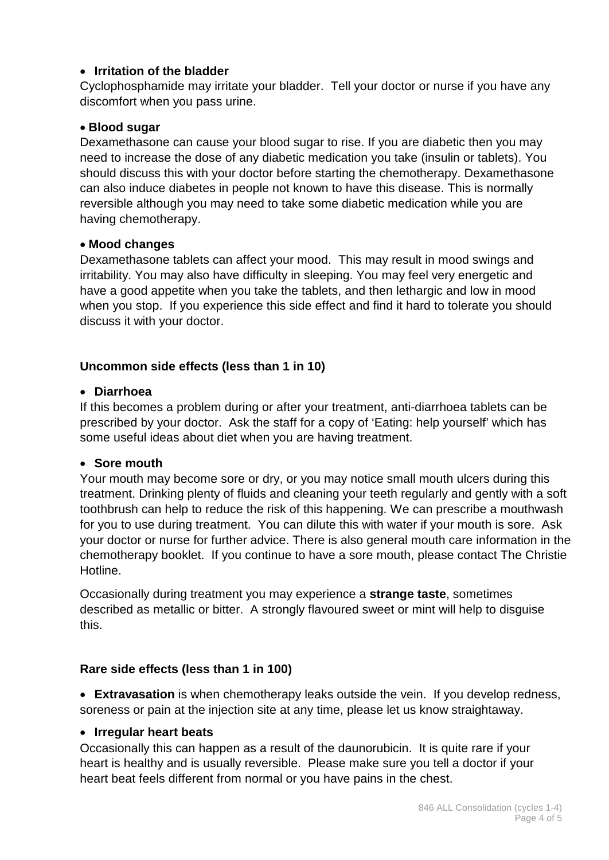### • **Irritation of the bladder**

Cyclophosphamide may irritate your bladder. Tell your doctor or nurse if you have any discomfort when you pass urine.

#### • **Blood sugar**

Dexamethasone can cause your blood sugar to rise. If you are diabetic then you may need to increase the dose of any diabetic medication you take (insulin or tablets). You should discuss this with your doctor before starting the chemotherapy. Dexamethasone can also induce diabetes in people not known to have this disease. This is normally reversible although you may need to take some diabetic medication while you are having chemotherapy.

#### • **Mood changes**

Dexamethasone tablets can affect your mood. This may result in mood swings and irritability. You may also have difficulty in sleeping. You may feel very energetic and have a good appetite when you take the tablets, and then lethargic and low in mood when you stop. If you experience this side effect and find it hard to tolerate you should discuss it with your doctor.

#### **Uncommon side effects (less than 1 in 10)**

#### • **Diarrhoea**

If this becomes a problem during or after your treatment, anti-diarrhoea tablets can be prescribed by your doctor. Ask the staff for a copy of 'Eating: help yourself' which has some useful ideas about diet when you are having treatment.

#### • **Sore mouth**

Your mouth may become sore or dry, or you may notice small mouth ulcers during this treatment. Drinking plenty of fluids and cleaning your teeth regularly and gently with a soft toothbrush can help to reduce the risk of this happening. We can prescribe a mouthwash for you to use during treatment. You can dilute this with water if your mouth is sore. Ask your doctor or nurse for further advice. There is also general mouth care information in the chemotherapy booklet. If you continue to have a sore mouth, please contact The Christie Hotline.

Occasionally during treatment you may experience a **strange taste**, sometimes described as metallic or bitter. A strongly flavoured sweet or mint will help to disguise this.

#### **Rare side effects (less than 1 in 100)**

• **Extravasation** is when chemotherapy leaks outside the vein. If you develop redness, soreness or pain at the injection site at any time, please let us know straightaway.

#### • **Irregular heart beats**

Occasionally this can happen as a result of the daunorubicin. It is quite rare if your heart is healthy and is usually reversible. Please make sure you tell a doctor if your heart beat feels different from normal or you have pains in the chest.